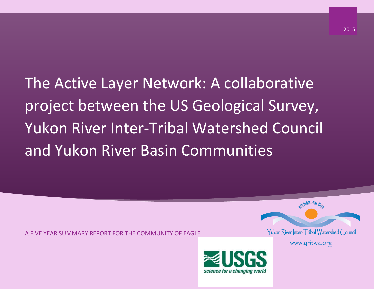The Active Layer Network: A collaborative project between the US Geological Survey, Yukon River Inter-Tribal Watershed Council and Yukon River Basin Communities

A FIVE YEAR SUMMARY REPORT FOR THE COMMUNITY OF EAGLE



**NE PEOPLE-ONE RILLS** 

www.yritwc.org

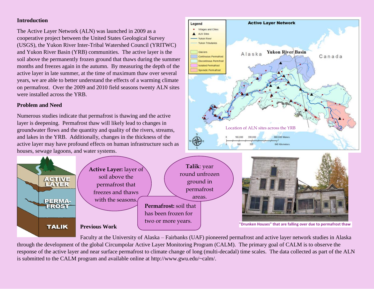# **Introduction**

The Active Layer Network (ALN) was launched in 2009 as a cooperative project between the United States Geological Survey (USGS), the Yukon River Inter-Tribal Watershed Council (YRITWC) and Yukon River Basin (YRB) communities. The active layer is the soil above the permanently frozen ground that thaws during the summer months and freezes again in the autumn. By measuring the depth of the active layer in late summer, at the time of maximum thaw over several years, we are able to better understand the effects of a warming climate on permafrost. Over the 2009 and 2010 field seasons twenty ALN sites were installed across the YRB.

# **Problem and Need**

**ACTIVE**<br>LAYER

**PERMA-**FROST

**TALIK** 

Numerous studies indicate that permafrost is thawing and the active layer is deepening. Permafrost thaw will likely lead to changes in groundwater flows and the quantity and quality of the rivers, streams, and lakes in the YRB. Additionally, changes in the thickness of the active layer may have profound effects on human infrastructure such as houses, sewage lagoons, and water systems.



**Previous Work**

Faculty at the University of Alaska – Fairbanks (UAF) pioneered permafrost and active layer network studies in Alaska through the development of the global Circumpolar Active Layer Monitoring Program (CALM). The primary goal of CALM is to observe the response of the active layer and near surface permafrost to climate change of long (multi-decadal) time scales. The data collected as part of the ALN

is submitted to the CALM program and available online at http://www.gwu.edu/~calm/.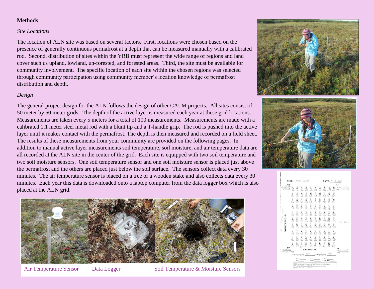# **Methods**

#### *Site Locations*

The location of ALN site was based on several factors. First, locations were chosen based on the presence of generally continuous permafrost at a depth that can be measured manually with a calibrated rod. Second, distribution of sites within the YRB must represent the wide range of regions and land cover such us upland, lowland, un-forested, and forested areas. Third, the site must be available for community involvement. The specific location of each site within the chosen regions was selected through community participation using community member's location knowledge of permafrost distribution and depth.

## *Design*

The general project design for the ALN follows the design of other CALM projects. All sites consist of 50 meter by 50 meter grids. The depth of the active layer is measured each year at these grid locations. Measurements are taken every 5 meters for a total of 100 measurements. Measurements are made with a calibrated 1.1 meter steel metal rod with a blunt tip and a T-handle grip. The rod is pushed into the active layer until it makes contact with the permafrost. The depth is then measured and recorded on a field sheet. The results of these measurements from your community are provided on the following pages. In addition to manual active layer measurements soil temperature, soil moisture, and air temperature data are all recorded at the ALN site in the center of the grid. Each site is equipped with two soil temperature and two soil moisture sensors. One soil temperature sensor and one soil moisture sensor is placed just above the permafrost and the others are placed just below the soil surface. The sensors collect data every 30 minutes. The air temperature sensor is placed on a tree or a wooden stake and also collects data every 30 minutes. Each year this data is downloaded onto a laptop computer from the data logger box which is also placed at the ALN grid.



Air Temperature Sensor Data Logger Soil Temperature & Moisture Sensors





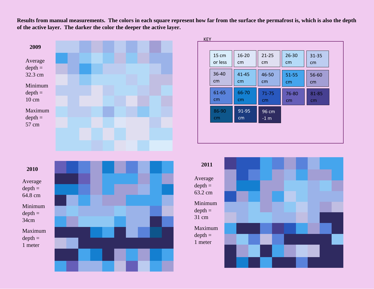**Results from manual measurements. The colors in each square represent how far from the surface the permafrost is, which is also the depth of the active layer. The darker the color the deeper the active layer.**



| <b>KFY</b>  |             |                            |           |           |
|-------------|-------------|----------------------------|-----------|-----------|
| 15 cm       | $16 - 20$   | $21 - 25$                  | $26 - 30$ | $31 - 35$ |
| or less     | cm          | cm                         | cm        | cm        |
| 36-40       | 41-45       | 46-50                      | 51-55     | 56-60     |
| cm          | cm          | cm                         | cm        | cm        |
| 61-65       | 66-70       | 71-75                      | 76-80     | 81-85     |
| cm          | cm          | cm                         | cm        | cm        |
| 86-90<br>cm | 91-95<br>cm | $96 \, \text{cm}$<br>$-1m$ |           |           |

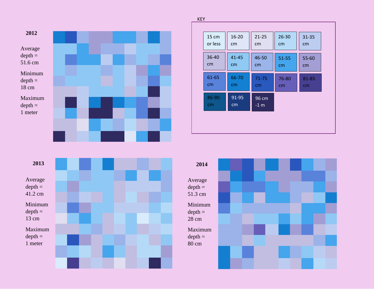



| 15 cm       | $16 - 20$   | $21 - 25$       | 26-30     | $31 - 35$ |
|-------------|-------------|-----------------|-----------|-----------|
| or less     | cm          | cm              | cm        | cm        |
| 36-40       | 41-45       | 46-50           | $51 - 55$ | 55-60     |
| cm          | cm          | cm              | cm        | cm        |
| 61-65       | 66-70       | 71-75           | 76-80     | 81-85     |
| cm          | cm          | cm              | cm        | cm        |
| 86-90<br>cm | 91-95<br>cm | 96 cm<br>$-1$ m |           |           |



KEY